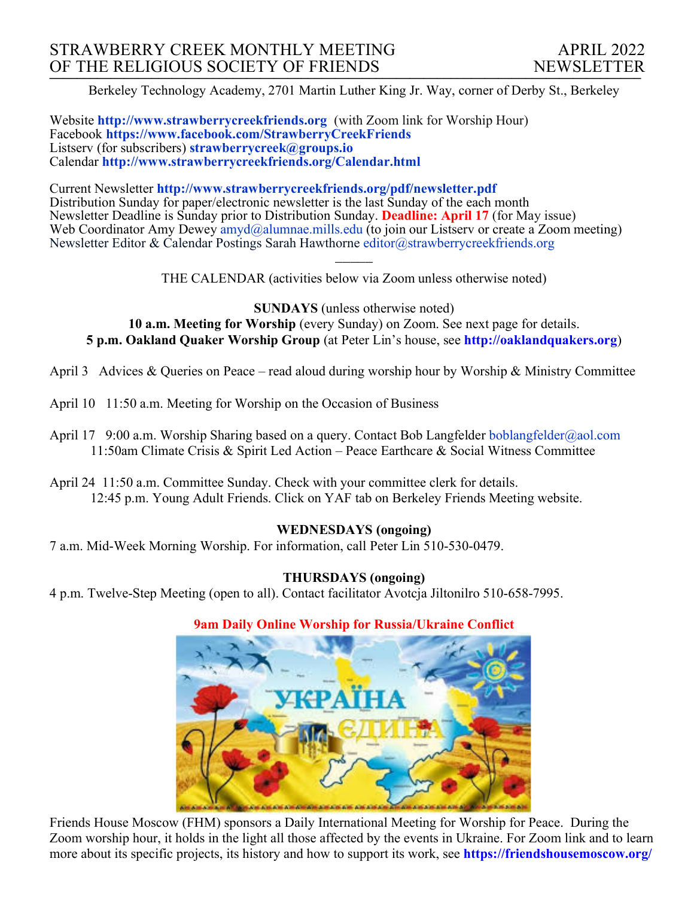Berkeley Technology Academy, 2701 Martin Luther King Jr. Way, corner of Derby St., Berkeley

Website **http://www.strawberrycreekfriends.org** (with Zoom link for Worship Hour) Facebook **https://www.facebook.com/StrawberryCreekFriends** Listserv (for subscribers) **strawberrycreek@groups.io** Calendar **http://www.strawberrycreekfriends.org/Calendar.html**

Current Newsletter **http://www.strawberrycreekfriends.org/pdf/newsletter.pdf** Distribution Sunday for paper/electronic newsletter is the last Sunday of the each month Newsletter Deadline is Sunday prior to Distribution Sunday. **Deadline: April 17** (for May issue) Web Coordinator Amy Dewey  $\frac{am\ddot{a}}{am\ddot{a}}$ alumnae.mills.edu (to join our Listserv or create a Zoom meeting) Newsletter Editor & Calendar Postings Sarah Hawthorne editor@strawberrycreekfriends.org

> $\overline{\phantom{a}}$ THE CALENDAR (activities below via Zoom unless otherwise noted)

**SUNDAYS** (unless otherwise noted) **10 a.m. Meeting for Worship** (every Sunday) on Zoom. See next page for details. **5 p.m. Oakland Quaker Worship Group** (at Peter Lin's house, see **http://oaklandquakers.org**)

April 3 Advices & Queries on Peace – read aloud during worship hour by Worship & Ministry Committee

- April 10 11:50 a.m. Meeting for Worship on the Occasion of Business
- April 17 9:00 a.m. Worship Sharing based on a query. Contact Bob Langfelder boblangfelder@aol.com 11:50am Climate Crisis & Spirit Led Action – Peace Earthcare & Social Witness Committee
- April 24 11:50 a.m. Committee Sunday. Check with your committee clerk for details. 12:45 p.m. Young Adult Friends. Click on YAF tab on Berkeley Friends Meeting website.

# **WEDNESDAYS (ongoing)**

7 a.m. Mid-Week Morning Worship. For information, call Peter Lin 510-530-0479.

# **THURSDAYS (ongoing)**

4 p.m. Twelve-Step Meeting (open to all). Contact facilitator Avotcja Jiltonilro 510-658-7995.

### **9am Daily Online Worship for Russia/Ukraine Conflict**



Friends House Moscow (FHM) sponsors a Daily International Meeting for Worship for Peace. During the Zoom worship hour, it holds in the light all those affected by the events in Ukraine. For Zoom link and to learn more about its specific projects, its history and how to support its work, see **https://friendshousemoscow.org/**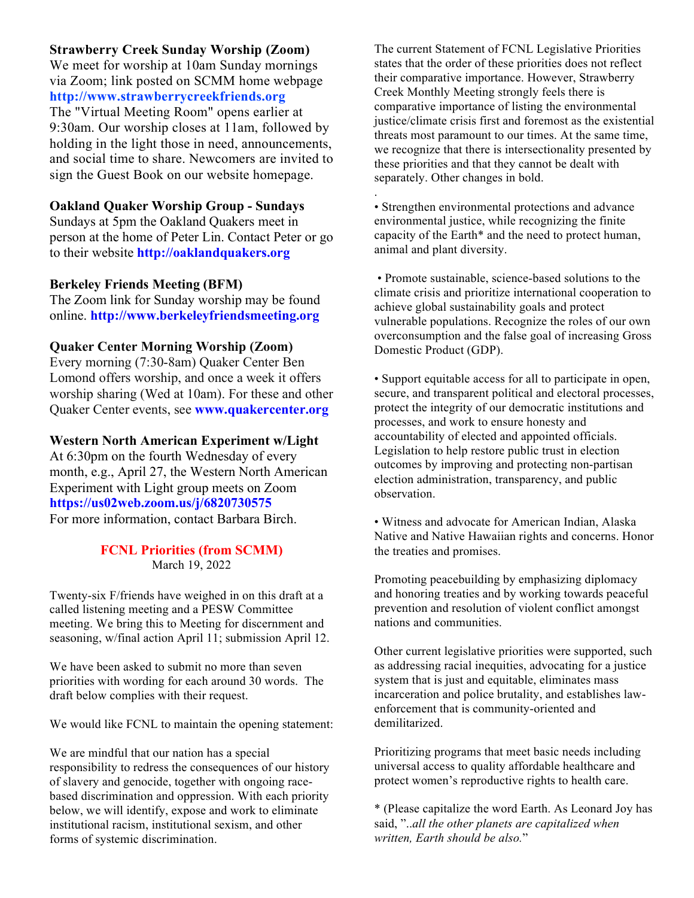### **Strawberry Creek Sunday Worship (Zoom)**

We meet for worship at 10am Sunday mornings via Zoom; link posted on SCMM home webpage **http://www.strawberrycreekfriends.org** The "Virtual Meeting Room" opens earlier at 9:30am. Our worship closes at 11am, followed by holding in the light those in need, announcements, and social time to share. Newcomers are invited to sign the Guest Book on our website homepage.

## **Oakland Quaker Worship Group - Sundays**

Sundays at 5pm the Oakland Quakers meet in person at the home of Peter Lin. Contact Peter or go to their website **http://oaklandquakers.org**

### **Berkeley Friends Meeting (BFM)**

The Zoom link for Sunday worship may be found online. **http://www.berkeleyfriendsmeeting.org**

### **Quaker Center Morning Worship (Zoom)**

Every morning (7:30-8am) Quaker Center Ben Lomond offers worship, and once a week it offers worship sharing (Wed at 10am). For these and other Quaker Center events, see **www.quakercenter.org**

#### **Western North American Experiment w/Light**

At 6:30pm on the fourth Wednesday of every month, e.g., April 27, the Western North American Experiment with Light group meets on Zoom **https://us02web.zoom.us/j/6820730575** For more information, contact Barbara Birch.

### **FCNL Priorities (from SCMM)** March 19, 2022

Twenty-six F/friends have weighed in on this draft at a called listening meeting and a PESW Committee meeting. We bring this to Meeting for discernment and seasoning, w/final action April 11; submission April 12.

We have been asked to submit no more than seven priorities with wording for each around 30 words. The draft below complies with their request.

We would like FCNL to maintain the opening statement:

We are mindful that our nation has a special responsibility to redress the consequences of our history of slavery and genocide, together with ongoing racebased discrimination and oppression. With each priority below, we will identify, expose and work to eliminate institutional racism, institutional sexism, and other forms of systemic discrimination.

The current Statement of FCNL Legislative Priorities states that the order of these priorities does not reflect their comparative importance. However, Strawberry Creek Monthly Meeting strongly feels there is comparative importance of listing the environmental justice/climate crisis first and foremost as the existential threats most paramount to our times. At the same time, we recognize that there is intersectionality presented by these priorities and that they cannot be dealt with separately. Other changes in bold.

• Strengthen environmental protections and advance environmental justice, while recognizing the finite capacity of the Earth\* and the need to protect human, animal and plant diversity.

.

• Promote sustainable, science-based solutions to the climate crisis and prioritize international cooperation to achieve global sustainability goals and protect vulnerable populations. Recognize the roles of our own overconsumption and the false goal of increasing Gross Domestic Product (GDP).

• Support equitable access for all to participate in open, secure, and transparent political and electoral processes, protect the integrity of our democratic institutions and processes, and work to ensure honesty and accountability of elected and appointed officials. Legislation to help restore public trust in election outcomes by improving and protecting non-partisan election administration, transparency, and public observation.

• Witness and advocate for American Indian, Alaska Native and Native Hawaiian rights and concerns. Honor the treaties and promises.

Promoting peacebuilding by emphasizing diplomacy and honoring treaties and by working towards peaceful prevention and resolution of violent conflict amongst nations and communities.

Other current legislative priorities were supported, such as addressing racial inequities, advocating for a justice system that is just and equitable, eliminates mass incarceration and police brutality, and establishes lawenforcement that is community-oriented and demilitarized.

Prioritizing programs that meet basic needs including universal access to quality affordable healthcare and protect women's reproductive rights to health care.

\* (Please capitalize the word Earth. As Leonard Joy has said, "..*all the other planets are capitalized when written, Earth should be also.*"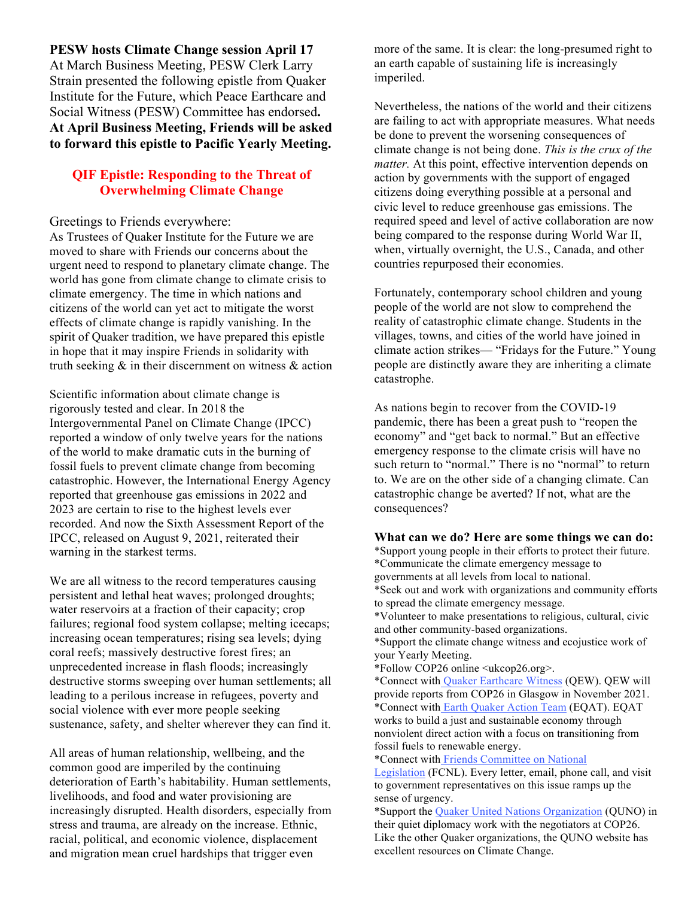**PESW hosts Climate Change session April 17** At March Business Meeting, PESW Clerk Larry Strain presented the following epistle from Quaker Institute for the Future, which Peace Earthcare and Social Witness (PESW) Committee has endorsed**. At April Business Meeting, Friends will be asked to forward this epistle to Pacific Yearly Meeting.**

# **QIF Epistle: Responding to the Threat of Overwhelming Climate Change**

#### Greetings to Friends everywhere:

As Trustees of Quaker Institute for the Future we are moved to share with Friends our concerns about the urgent need to respond to planetary climate change. The world has gone from climate change to climate crisis to climate emergency. The time in which nations and citizens of the world can yet act to mitigate the worst effects of climate change is rapidly vanishing. In the spirit of Quaker tradition, we have prepared this epistle in hope that it may inspire Friends in solidarity with truth seeking  $\&$  in their discernment on witness  $\&$  action

Scientific information about climate change is rigorously tested and clear. In 2018 the Intergovernmental Panel on Climate Change (IPCC) reported a window of only twelve years for the nations of the world to make dramatic cuts in the burning of fossil fuels to prevent climate change from becoming catastrophic. However, the International Energy Agency reported that greenhouse gas emissions in 2022 and 2023 are certain to rise to the highest levels ever recorded. And now the Sixth Assessment Report of the IPCC, released on August 9, 2021, reiterated their warning in the starkest terms.

We are all witness to the record temperatures causing persistent and lethal heat waves; prolonged droughts; water reservoirs at a fraction of their capacity; crop failures; regional food system collapse; melting icecaps; increasing ocean temperatures; rising sea levels; dying coral reefs; massively destructive forest fires; an unprecedented increase in flash floods; increasingly destructive storms sweeping over human settlements; all leading to a perilous increase in refugees, poverty and social violence with ever more people seeking sustenance, safety, and shelter wherever they can find it.

All areas of human relationship, wellbeing, and the common good are imperiled by the continuing deterioration of Earth's habitability. Human settlements, livelihoods, and food and water provisioning are increasingly disrupted. Health disorders, especially from stress and trauma, are already on the increase. Ethnic, racial, political, and economic violence, displacement and migration mean cruel hardships that trigger even

more of the same. It is clear: the long-presumed right to an earth capable of sustaining life is increasingly imperiled.

Nevertheless, the nations of the world and their citizens are failing to act with appropriate measures. What needs be done to prevent the worsening consequences of climate change is not being done. *This is the crux of the matter.* At this point, effective intervention depends on action by governments with the support of engaged citizens doing everything possible at a personal and civic level to reduce greenhouse gas emissions. The required speed and level of active collaboration are now being compared to the response during World War II, when, virtually overnight, the U.S., Canada, and other countries repurposed their economies.

Fortunately, contemporary school children and young people of the world are not slow to comprehend the reality of catastrophic climate change. Students in the villages, towns, and cities of the world have joined in climate action strikes— "Fridays for the Future." Young people are distinctly aware they are inheriting a climate catastrophe.

As nations begin to recover from the COVID-19 pandemic, there has been a great push to "reopen the economy" and "get back to normal." But an effective emergency response to the climate crisis will have no such return to "normal." There is no "normal" to return to. We are on the other side of a changing climate. Can catastrophic change be averted? If not, what are the consequences?

#### **What can we do? Here are some things we can do:**

\*Support young people in their efforts to protect their future. \*Communicate the climate emergency message to governments at all levels from local to national. \*Seek out and work with organizations and community efforts to spread the climate emergency message.

\*Volunteer to make presentations to religious, cultural, civic and other community-based organizations.

\*Support the climate change witness and ecojustice work of your Yearly Meeting.

\*Follow COP26 online <ukcop26.org>.

\*Connect with Quaker Earthcare Witness (QEW). QEW will provide reports from COP26 in Glasgow in November 2021. \*Connect with Earth Quaker Action Team (EQAT). EQAT works to build a just and sustainable economy through nonviolent direct action with a focus on transitioning from fossil fuels to renewable energy.

\*Connect with Friends Committee on National

Legislation (FCNL). Every letter, email, phone call, and visit to government representatives on this issue ramps up the sense of urgency.

\*Support the Quaker United Nations Organization (QUNO) in their quiet diplomacy work with the negotiators at COP26. Like the other Quaker organizations, the QUNO website has excellent resources on Climate Change.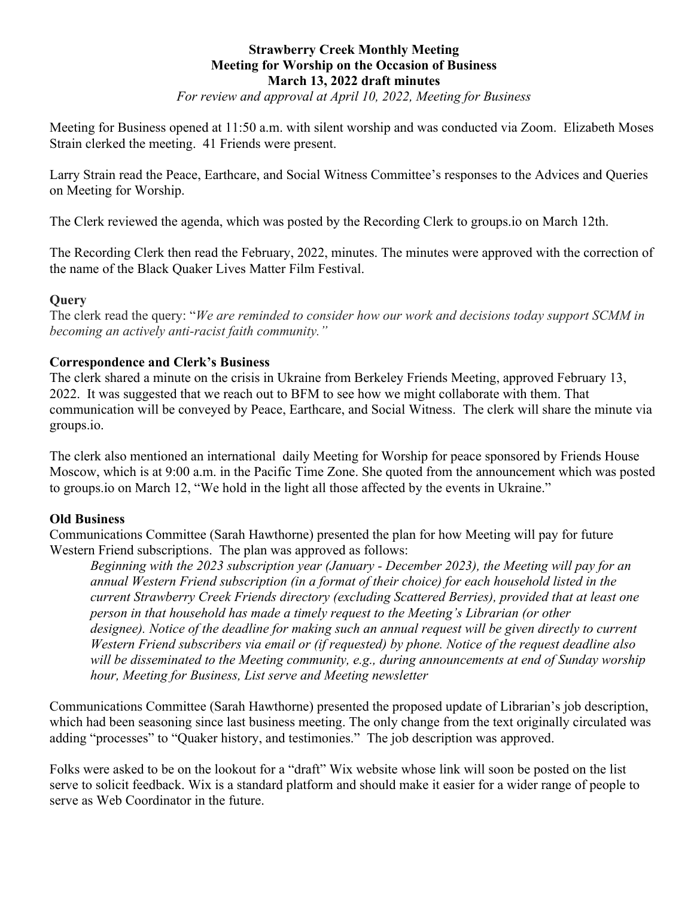# **Strawberry Creek Monthly Meeting Meeting for Worship on the Occasion of Business March 13, 2022 draft minutes**

*For review and approval at April 10, 2022, Meeting for Business*

Meeting for Business opened at 11:50 a.m. with silent worship and was conducted via Zoom. Elizabeth Moses Strain clerked the meeting. 41 Friends were present.

Larry Strain read the Peace, Earthcare, and Social Witness Committee's responses to the Advices and Queries on Meeting for Worship.

The Clerk reviewed the agenda, which was posted by the Recording Clerk to groups.io on March 12th.

The Recording Clerk then read the February, 2022, minutes. The minutes were approved with the correction of the name of the Black Quaker Lives Matter Film Festival.

### **Query**

The clerk read the query: "*We are reminded to consider how our work and decisions today support SCMM in becoming an actively anti-racist faith community."* 

### **Correspondence and Clerk's Business**

The clerk shared a minute on the crisis in Ukraine from Berkeley Friends Meeting, approved February 13, 2022. It was suggested that we reach out to BFM to see how we might collaborate with them. That communication will be conveyed by Peace, Earthcare, and Social Witness. The clerk will share the minute via groups.io.

The clerk also mentioned an international daily Meeting for Worship for peace sponsored by Friends House Moscow, which is at 9:00 a.m. in the Pacific Time Zone. She quoted from the announcement which was posted to groups.io on March 12, "We hold in the light all those affected by the events in Ukraine."

### **Old Business**

Communications Committee (Sarah Hawthorne) presented the plan for how Meeting will pay for future Western Friend subscriptions. The plan was approved as follows:

*Beginning with the 2023 subscription year (January - December 2023), the Meeting will pay for an annual Western Friend subscription (in a format of their choice) for each household listed in the current Strawberry Creek Friends directory (excluding Scattered Berries), provided that at least one person in that household has made a timely request to the Meeting's Librarian (or other designee). Notice of the deadline for making such an annual request will be given directly to current Western Friend subscribers via email or (if requested) by phone. Notice of the request deadline also will be disseminated to the Meeting community, e.g., during announcements at end of Sunday worship hour, Meeting for Business, List serve and Meeting newsletter*

Communications Committee (Sarah Hawthorne) presented the proposed update of Librarian's job description, which had been seasoning since last business meeting. The only change from the text originally circulated was adding "processes" to "Quaker history, and testimonies." The job description was approved.

Folks were asked to be on the lookout for a "draft" Wix website whose link will soon be posted on the list serve to solicit feedback. Wix is a standard platform and should make it easier for a wider range of people to serve as Web Coordinator in the future.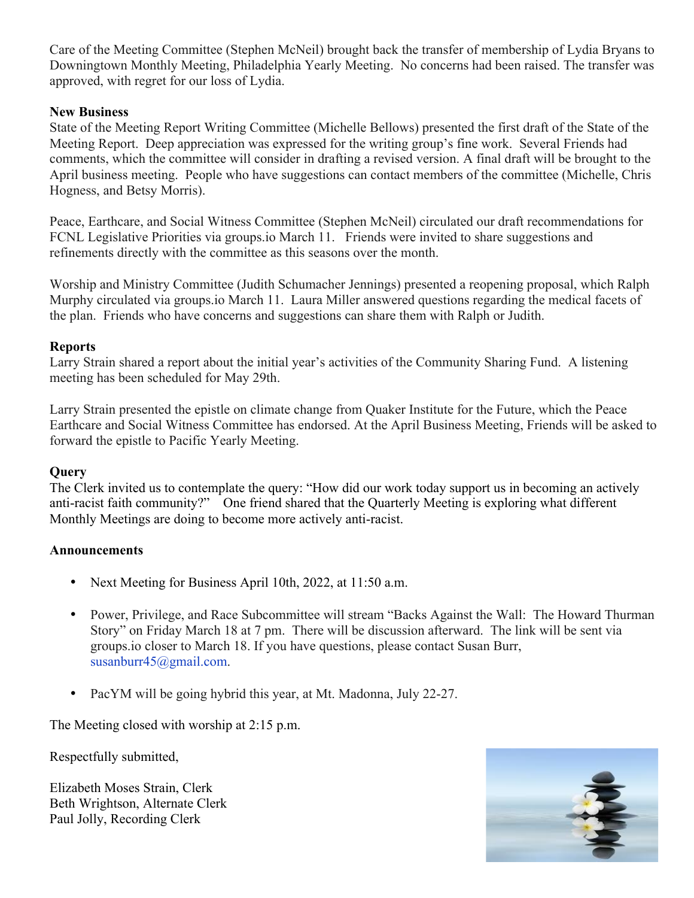Care of the Meeting Committee (Stephen McNeil) brought back the transfer of membership of Lydia Bryans to Downingtown Monthly Meeting, Philadelphia Yearly Meeting. No concerns had been raised. The transfer was approved, with regret for our loss of Lydia.

# **New Business**

State of the Meeting Report Writing Committee (Michelle Bellows) presented the first draft of the State of the Meeting Report. Deep appreciation was expressed for the writing group's fine work. Several Friends had comments, which the committee will consider in drafting a revised version. A final draft will be brought to the April business meeting. People who have suggestions can contact members of the committee (Michelle, Chris Hogness, and Betsy Morris).

Peace, Earthcare, and Social Witness Committee (Stephen McNeil) circulated our draft recommendations for FCNL Legislative Priorities via groups.io March 11. Friends were invited to share suggestions and refinements directly with the committee as this seasons over the month.

Worship and Ministry Committee (Judith Schumacher Jennings) presented a reopening proposal, which Ralph Murphy circulated via groups.io March 11. Laura Miller answered questions regarding the medical facets of the plan. Friends who have concerns and suggestions can share them with Ralph or Judith.

# **Reports**

Larry Strain shared a report about the initial year's activities of the Community Sharing Fund. A listening meeting has been scheduled for May 29th.

Larry Strain presented the epistle on climate change from Quaker Institute for the Future, which the Peace Earthcare and Social Witness Committee has endorsed. At the April Business Meeting, Friends will be asked to forward the epistle to Pacific Yearly Meeting.

# **Query**

The Clerk invited us to contemplate the query: "How did our work today support us in becoming an actively anti-racist faith community?" One friend shared that the Quarterly Meeting is exploring what different Monthly Meetings are doing to become more actively anti-racist.

# **Announcements**

- Next Meeting for Business April 10th, 2022, at 11:50 a.m.
- Power, Privilege, and Race Subcommittee will stream "Backs Against the Wall: The Howard Thurman Story" on Friday March 18 at 7 pm. There will be discussion afterward. The link will be sent via groups.io closer to March 18. If you have questions, please contact Susan Burr, susanburr45@gmail.com.
- PacYM will be going hybrid this year, at Mt. Madonna, July 22-27.

The Meeting closed with worship at 2:15 p.m.

Respectfully submitted,

Elizabeth Moses Strain, Clerk Beth Wrightson, Alternate Clerk Paul Jolly, Recording Clerk

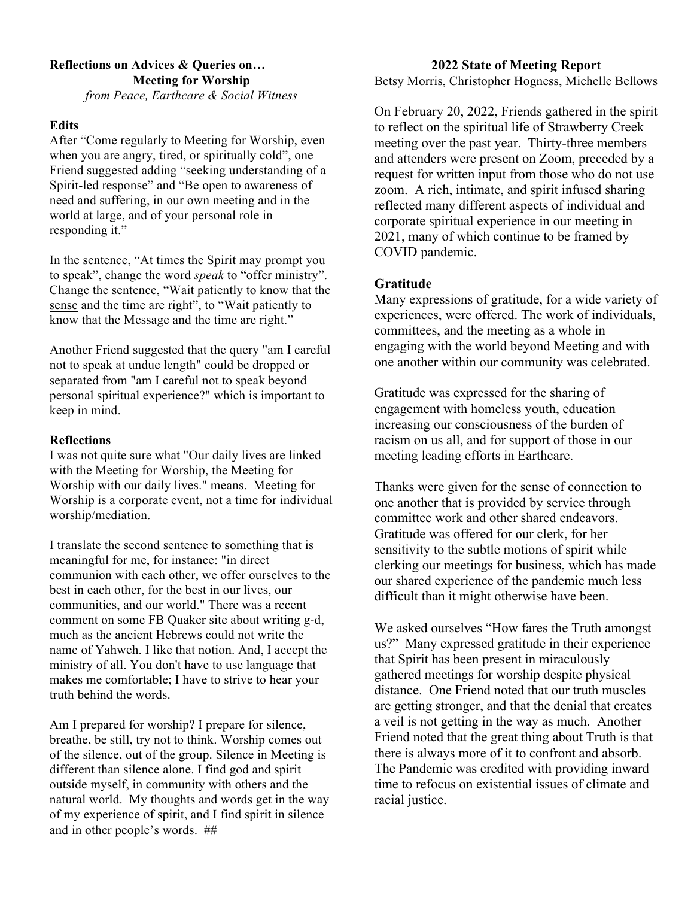# **Reflections on Advices & Queries on… Meeting for Worship**

*from Peace, Earthcare & Social Witness*

### **Edits**

After "Come regularly to Meeting for Worship, even when you are angry, tired, or spiritually cold", one Friend suggested adding "seeking understanding of a Spirit-led response" and "Be open to awareness of need and suffering, in our own meeting and in the world at large, and of your personal role in responding it."

In the sentence, "At times the Spirit may prompt you to speak", change the word *speak* to "offer ministry". Change the sentence, "Wait patiently to know that the sense and the time are right", to "Wait patiently to know that the Message and the time are right."

Another Friend suggested that the query "am I careful not to speak at undue length" could be dropped or separated from "am I careful not to speak beyond personal spiritual experience?" which is important to keep in mind.

### **Reflections**

I was not quite sure what "Our daily lives are linked with the Meeting for Worship, the Meeting for Worship with our daily lives." means. Meeting for Worship is a corporate event, not a time for individual worship/mediation.

I translate the second sentence to something that is meaningful for me, for instance: "in direct communion with each other, we offer ourselves to the best in each other, for the best in our lives, our communities, and our world." There was a recent comment on some FB Quaker site about writing g-d, much as the ancient Hebrews could not write the name of Yahweh. I like that notion. And, I accept the ministry of all. You don't have to use language that makes me comfortable; I have to strive to hear your truth behind the words.

Am I prepared for worship? I prepare for silence, breathe, be still, try not to think. Worship comes out of the silence, out of the group. Silence in Meeting is different than silence alone. I find god and spirit outside myself, in community with others and the natural world. My thoughts and words get in the way of my experience of spirit, and I find spirit in silence and in other people's words. ##

### **2022 State of Meeting Report**

Betsy Morris, Christopher Hogness, Michelle Bellows

On February 20, 2022, Friends gathered in the spirit to reflect on the spiritual life of Strawberry Creek meeting over the past year. Thirty-three members and attenders were present on Zoom, preceded by a request for written input from those who do not use zoom. A rich, intimate, and spirit infused sharing reflected many different aspects of individual and corporate spiritual experience in our meeting in 2021, many of which continue to be framed by COVID pandemic.

### **Gratitude**

Many expressions of gratitude, for a wide variety of experiences, were offered. The work of individuals, committees, and the meeting as a whole in engaging with the world beyond Meeting and with one another within our community was celebrated.

Gratitude was expressed for the sharing of engagement with homeless youth, education increasing our consciousness of the burden of racism on us all, and for support of those in our meeting leading efforts in Earthcare.

Thanks were given for the sense of connection to one another that is provided by service through committee work and other shared endeavors. Gratitude was offered for our clerk, for her sensitivity to the subtle motions of spirit while clerking our meetings for business, which has made our shared experience of the pandemic much less difficult than it might otherwise have been.

We asked ourselves "How fares the Truth amongst us?" Many expressed gratitude in their experience that Spirit has been present in miraculously gathered meetings for worship despite physical distance. One Friend noted that our truth muscles are getting stronger, and that the denial that creates a veil is not getting in the way as much. Another Friend noted that the great thing about Truth is that there is always more of it to confront and absorb. The Pandemic was credited with providing inward time to refocus on existential issues of climate and racial justice.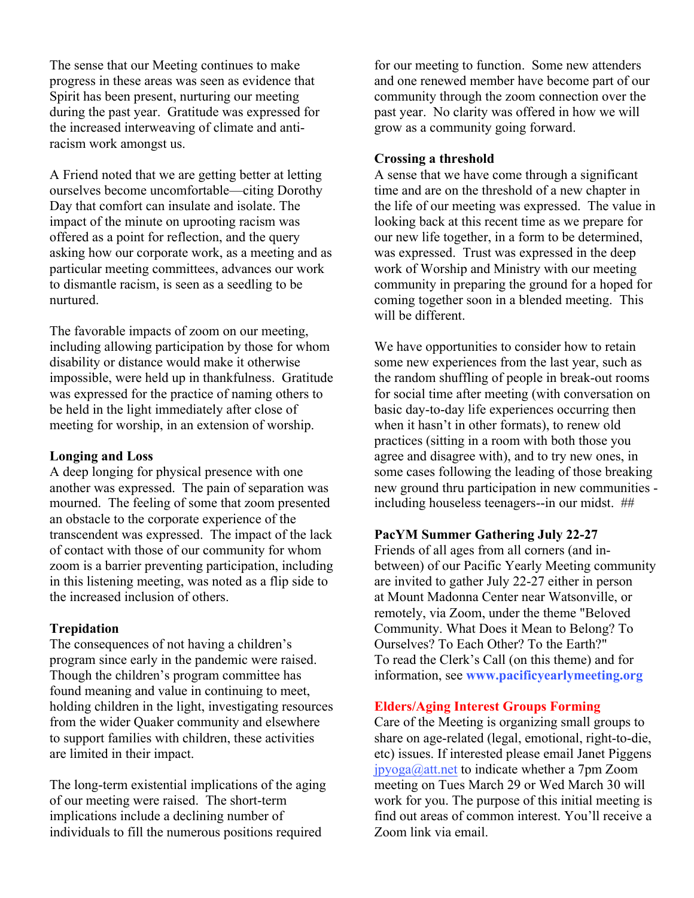The sense that our Meeting continues to make progress in these areas was seen as evidence that Spirit has been present, nurturing our meeting during the past year. Gratitude was expressed for the increased interweaving of climate and antiracism work amongst us.

A Friend noted that we are getting better at letting ourselves become uncomfortable—citing Dorothy Day that comfort can insulate and isolate. The impact of the minute on uprooting racism was offered as a point for reflection, and the query asking how our corporate work, as a meeting and as particular meeting committees, advances our work to dismantle racism, is seen as a seedling to be nurtured.

The favorable impacts of zoom on our meeting, including allowing participation by those for whom disability or distance would make it otherwise impossible, were held up in thankfulness. Gratitude was expressed for the practice of naming others to be held in the light immediately after close of meeting for worship, in an extension of worship.

### **Longing and Loss**

A deep longing for physical presence with one another was expressed. The pain of separation was mourned. The feeling of some that zoom presented an obstacle to the corporate experience of the transcendent was expressed. The impact of the lack of contact with those of our community for whom zoom is a barrier preventing participation, including in this listening meeting, was noted as a flip side to the increased inclusion of others.

# **Trepidation**

The consequences of not having a children's program since early in the pandemic were raised. Though the children's program committee has found meaning and value in continuing to meet, holding children in the light, investigating resources from the wider Quaker community and elsewhere to support families with children, these activities are limited in their impact.

The long-term existential implications of the aging of our meeting were raised. The short-term implications include a declining number of individuals to fill the numerous positions required

for our meeting to function. Some new attenders and one renewed member have become part of our community through the zoom connection over the past year. No clarity was offered in how we will grow as a community going forward.

## **Crossing a threshold**

A sense that we have come through a significant time and are on the threshold of a new chapter in the life of our meeting was expressed. The value in looking back at this recent time as we prepare for our new life together, in a form to be determined, was expressed. Trust was expressed in the deep work of Worship and Ministry with our meeting community in preparing the ground for a hoped for coming together soon in a blended meeting. This will be different.

We have opportunities to consider how to retain some new experiences from the last year, such as the random shuffling of people in break-out rooms for social time after meeting (with conversation on basic day-to-day life experiences occurring then when it hasn't in other formats), to renew old practices (sitting in a room with both those you agree and disagree with), and to try new ones, in some cases following the leading of those breaking new ground thru participation in new communities including houseless teenagers--in our midst. ##

# **PacYM Summer Gathering July 22-27**

Friends of all ages from all corners (and inbetween) of our Pacific Yearly Meeting community are invited to gather July 22-27 either in person at Mount Madonna Center near Watsonville, or remotely, via Zoom, under the theme "Beloved Community. What Does it Mean to Belong? To Ourselves? To Each Other? To the Earth?" To read the Clerk's Call (on this theme) and for information, see **www.pacificyearlymeeting.org**

# **Elders/Aging Interest Groups Forming**

Care of the Meeting is organizing small groups to share on age-related (legal, emotional, right-to-die, etc) issues. If interested please email Janet Piggens jpyoga@att.net to indicate whether a 7pm Zoom meeting on Tues March 29 or Wed March 30 will work for you. The purpose of this initial meeting is find out areas of common interest. You'll receive a Zoom link via email.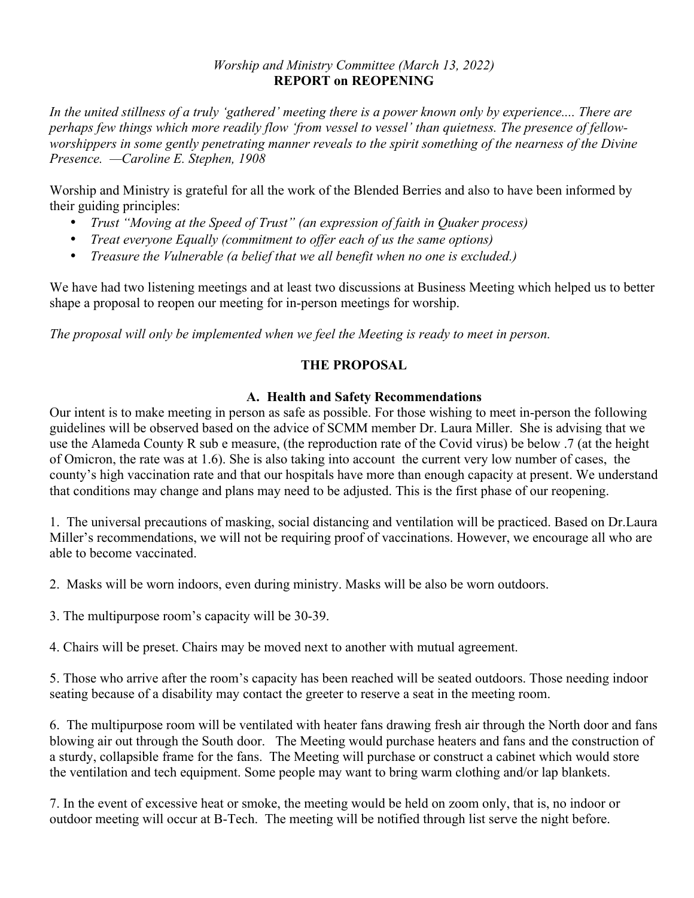### *Worship and Ministry Committee (March 13, 2022)* **REPORT on REOPENING**

*In the united stillness of a truly 'gathered' meeting there is a power known only by experience.... There are perhaps few things which more readily flow 'from vessel to vessel' than quietness. The presence of fellowworshippers in some gently penetrating manner reveals to the spirit something of the nearness of the Divine Presence. —Caroline E. Stephen, 1908*

Worship and Ministry is grateful for all the work of the Blended Berries and also to have been informed by their guiding principles:

- *Trust "Moving at the Speed of Trust" (an expression of faith in Quaker process)*
- *Treat everyone Equally (commitment to offer each of us the same options)*
- *Treasure the Vulnerable (a belief that we all benefit when no one is excluded.)*

We have had two listening meetings and at least two discussions at Business Meeting which helped us to better shape a proposal to reopen our meeting for in-person meetings for worship.

*The proposal will only be implemented when we feel the Meeting is ready to meet in person.* 

# **THE PROPOSAL**

# **A. Health and Safety Recommendations**

Our intent is to make meeting in person as safe as possible. For those wishing to meet in-person the following guidelines will be observed based on the advice of SCMM member Dr. Laura Miller. She is advising that we use the Alameda County R sub e measure, (the reproduction rate of the Covid virus) be below .7 (at the height of Omicron, the rate was at 1.6). She is also taking into account the current very low number of cases, the county's high vaccination rate and that our hospitals have more than enough capacity at present. We understand that conditions may change and plans may need to be adjusted. This is the first phase of our reopening.

1. The universal precautions of masking, social distancing and ventilation will be practiced. Based on Dr.Laura Miller's recommendations, we will not be requiring proof of vaccinations. However, we encourage all who are able to become vaccinated.

2. Masks will be worn indoors, even during ministry. Masks will be also be worn outdoors.

3. The multipurpose room's capacity will be 30-39.

4. Chairs will be preset. Chairs may be moved next to another with mutual agreement.

5. Those who arrive after the room's capacity has been reached will be seated outdoors. Those needing indoor seating because of a disability may contact the greeter to reserve a seat in the meeting room.

6. The multipurpose room will be ventilated with heater fans drawing fresh air through the North door and fans blowing air out through the South door. The Meeting would purchase heaters and fans and the construction of a sturdy, collapsible frame for the fans. The Meeting will purchase or construct a cabinet which would store the ventilation and tech equipment. Some people may want to bring warm clothing and/or lap blankets.

7. In the event of excessive heat or smoke, the meeting would be held on zoom only, that is, no indoor or outdoor meeting will occur at B-Tech. The meeting will be notified through list serve the night before.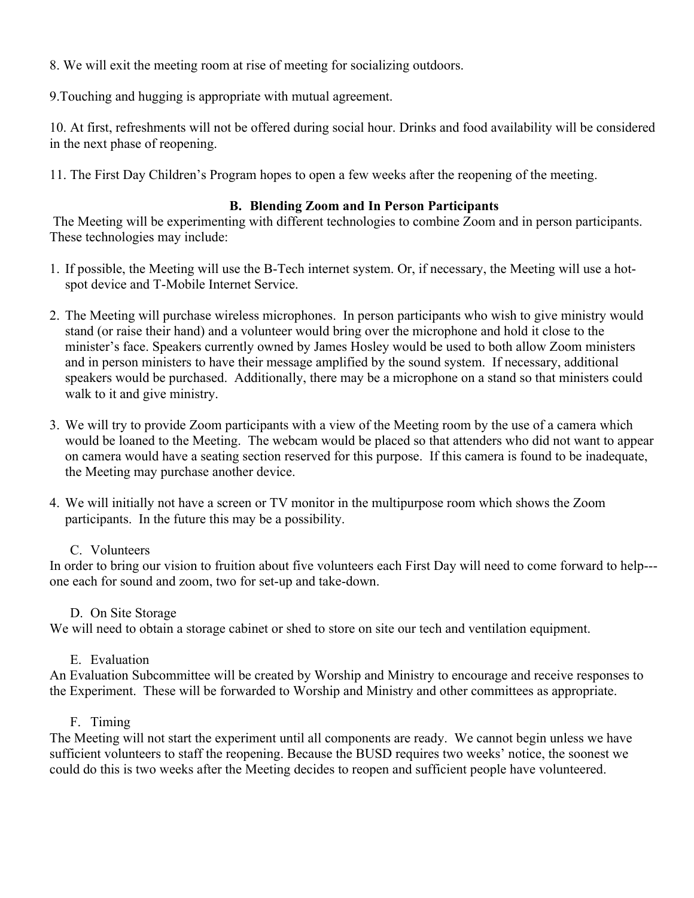8. We will exit the meeting room at rise of meeting for socializing outdoors.

9.Touching and hugging is appropriate with mutual agreement.

10. At first, refreshments will not be offered during social hour. Drinks and food availability will be considered in the next phase of reopening.

11. The First Day Children's Program hopes to open a few weeks after the reopening of the meeting.

# **B. Blending Zoom and In Person Participants**

The Meeting will be experimenting with different technologies to combine Zoom and in person participants. These technologies may include:

- 1. If possible, the Meeting will use the B-Tech internet system. Or, if necessary, the Meeting will use a hotspot device and T-Mobile Internet Service.
- 2. The Meeting will purchase wireless microphones. In person participants who wish to give ministry would stand (or raise their hand) and a volunteer would bring over the microphone and hold it close to the minister's face. Speakers currently owned by James Hosley would be used to both allow Zoom ministers and in person ministers to have their message amplified by the sound system. If necessary, additional speakers would be purchased. Additionally, there may be a microphone on a stand so that ministers could walk to it and give ministry.
- 3. We will try to provide Zoom participants with a view of the Meeting room by the use of a camera which would be loaned to the Meeting. The webcam would be placed so that attenders who did not want to appear on camera would have a seating section reserved for this purpose. If this camera is found to be inadequate, the Meeting may purchase another device.
- 4. We will initially not have a screen or TV monitor in the multipurpose room which shows the Zoom participants. In the future this may be a possibility.

# C. Volunteers

In order to bring our vision to fruition about five volunteers each First Day will need to come forward to help-- one each for sound and zoom, two for set-up and take-down.

# D. On Site Storage

We will need to obtain a storage cabinet or shed to store on site our tech and ventilation equipment.

# E. Evaluation

An Evaluation Subcommittee will be created by Worship and Ministry to encourage and receive responses to the Experiment. These will be forwarded to Worship and Ministry and other committees as appropriate.

# F. Timing

The Meeting will not start the experiment until all components are ready. We cannot begin unless we have sufficient volunteers to staff the reopening. Because the BUSD requires two weeks' notice, the soonest we could do this is two weeks after the Meeting decides to reopen and sufficient people have volunteered.